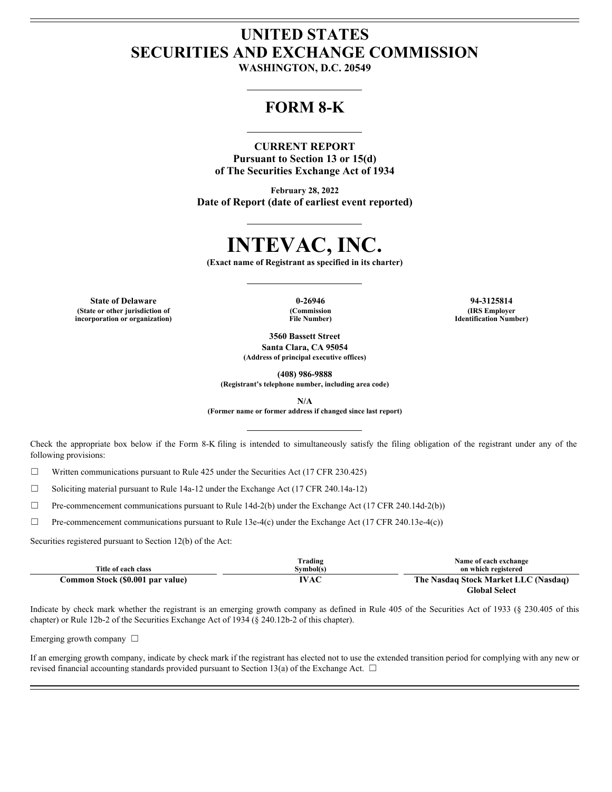## **UNITED STATES SECURITIES AND EXCHANGE COMMISSION**

**WASHINGTON, D.C. 20549**

### **FORM 8-K**

#### **CURRENT REPORT**

**Pursuant to Section 13 or 15(d) of The Securities Exchange Act of 1934**

**February 28, 2022 Date of Report (date of earliest event reported)**

# **INTEVAC, INC.**

**(Exact name of Registrant as specified in its charter)**

**(State or other jurisdiction of incorporation or organization)** **File Number)**

**State of Delaware 0-26946 94-3125814 (Commission (IRS Employer Identification Number)**

> **3560 Bassett Street Santa Clara, CA 95054**

**(Address of principal executive offices)**

**(408) 986-9888**

**(Registrant's telephone number, including area code)**

**N/A**

**(Former name or former address if changed since last report)**

CHERENT REPORT<br>
Pursuant for Section 13 or 15(d)<br>
of The Securities Exchange Act of 1934<br>
Date of Report (date of cartical creat reported)<br>  $\begin{array}{r} \textbf{IMREVAC, INC,} \\ \textbf{(Kcut name of Repletrate use specified in its chapter)} \\ \textbf{(Scut name of Repletrate use specified in the chapter)} \\ \textbf{(Scut name for the input, and the input, and the input, and the input,$ following provisions:

☐ Written communications pursuant to Rule 425 under the Securities Act (17 CFR 230.425)

☐ Soliciting material pursuant to Rule 14a-12 under the Exchange Act (17 CFR 240.14a-12)

 $\Box$  Pre-commencement communications pursuant to Rule 14d-2(b) under the Exchange Act (17 CFR 240.14d-2(b))

 $\Box$  Pre-commencement communications pursuant to Rule 13e-4(c) under the Exchange Act (17 CFR 240.13e-4(c))

Securities registered pursuant to Section 12(b) of the Act:

|                                  | Trading           | Name of each exchange                |
|----------------------------------|-------------------|--------------------------------------|
| Title of each class              | <b>Symbol</b> (s) | on which registered                  |
| Common Stock (\$0.001 par value) | IVAC              | The Nasdaq Stock Market LLC (Nasdaq) |
|                                  |                   | <b>Global Select</b>                 |

Indicate by check mark whether the registrant is an emerging growth company as defined in Rule 405 of the Securities Act of 1933 (§ 230.405 of this chapter) or Rule 12b-2 of the Securities Exchange Act of 1934 (§ 240.12b-2 of this chapter).

Emerging growth company  $\Box$ 

If an emerging growth company, indicate by check mark if the registrant has elected not to use the extended transition period for complying with any new or revised financial accounting standards provided pursuant to Section 13(a) of the Exchange Act.  $\Box$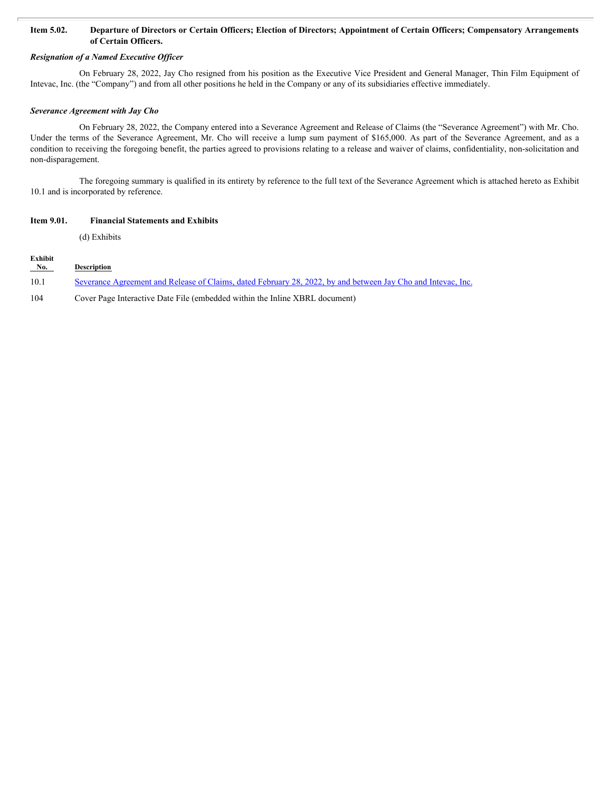#### **Item 5.02. Departure of Directors or Certain Officers; Election of Directors; Appointment of Certain Officers; Compensatory Arrangements of Certain Officers.**

#### *Resignation of a Named Executive Officer*

On February 28, 2022, Jay Cho resigned from his position as the Executive Vice President and General Manager, Thin Film Equipment of Intevac, Inc. (the "Company") and from all other positions he held in the Company or any of its subsidiaries effective immediately.

#### *Severance Agreement with Jay Cho*

On February 28, 2022, the Company entered into a Severance Agreement and Release of Claims (the "Severance Agreement") with Mr. Cho. **Item 5.02. Departure of Directors or Certain Officers; Election of Directors; Appointment of Certain Officers; Compensatory Arrangements**<br>**Resignation of a Named Executive Officer**<br>**Resignation of a Named Executive Off** condition to receiving the foregoing benefit, the parties agreed to provisions relating to a release and waiver of claims, confidentiality, non-solicitation and non-disparagement.

The foregoing summary is qualified in its entirety by reference to the full text of the Severance Agreement which is attached hereto as Exhibit 10.1 and is incorporated by reference.

#### **Item 9.01. Financial Statements and Exhibits**

(d) Exhibits

| Exhibit |                    |  |  |
|---------|--------------------|--|--|
| No.     | <b>Description</b> |  |  |

10.1 [Severance Agreement and Release of Claims, dated February 28, 2022, by and between Jay Cho and Intevac, Inc.](#page-3-0)

104 Cover Page Interactive Date File (embedded within the Inline XBRL document)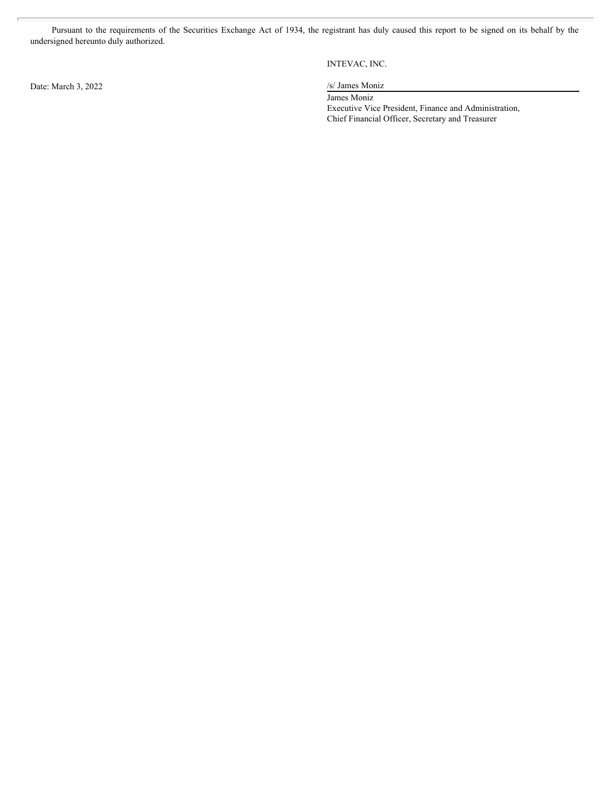Pursuant to the requirements of the Securities Exchange Act of 1934, the registrant has duly caused this report to be signed on its behalf by the initial of the signed hereunto duly authorized.<br>INTEVAC, INC.<br>INTEVAC, INC.<br> undersigned hereunto duly authorized.

INTEVAC, INC.

James Moniz Executive Vice President, Finance and Administration, Chief Financial Officer, Secretary and Treasurer

Date: March 3, 2022 /s/ James Moniz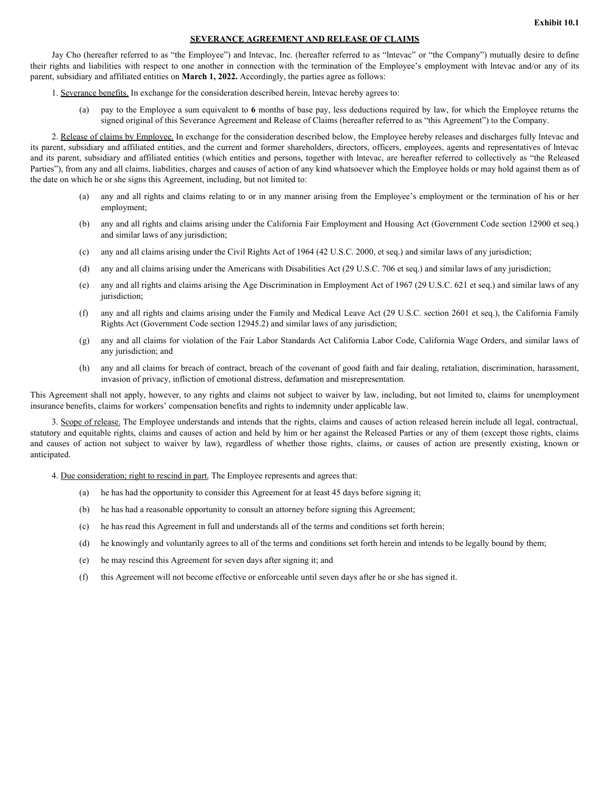#### **SEVERANCE AGREEMENT AND RELEASE OF CLAIMS**

Jay Cho (hereafter referred to as "the Employee") and lntevac, Inc. (hereafter referred to as "lntevac" or "the Company") mutually desire to define **EXERANCE AGREEMENT AND RELEASE OF CLAIMS**<br>
Iay Cho (hereafter referred to as "the Employee") and Intevac, Inc. (hereafter referred to as "Intevac" or "the Company") mutually desire to define<br>
their rights and liabilities parent, subsidiary and affiliated entities on **March 1, 2022.** Accordingly, the parties agree as follows:

- <span id="page-3-0"></span>1. Severance benefits. In exchange for the consideration described herein, lntevac hereby agrees to:
	- (a) pay to the Employee a sum equivalent to **6** months of base pay, less deductions required by law, for which the Employee returns the signed original of this Severance Agreement and Release of Claims (hereafter referred to as "this Agreement") to the Company.

2. Release of claims by Employee. In exchange for the consideration described below, the Employee hereby releases and discharges fully lntevac and its parent, subsidiary and affiliated entities, and the current and former shareholders, directors, officers, employees, agents and representatives of lntevac and its parent, subsidiary and affiliated entities (which entities and persons, together with lntevac, are hereafter referred to collectively as "the Released Parties"), from any and all claims, liabilities, charges and causes of action of any kind whatsoever which the Employee holds or may hold against them as of the date on which he or she signs this Agreement, including, but not limited to: and causes of existence action of this becomes a cheme and Relate of Chine Merchanics and the consideration of this consider the cause of the cause of the cause of the cause of action and the cause of the cause of the spe

- (a) any and all rights and claims relating to or in any manner arising from the Employee's employment or the termination of his or her employment;
- (b) any and all rights and claims arising under the California Fair Employment and Housing Act (Government Code section 12900 et seq.) and similar laws of any jurisdiction;
- (c) any and all claims arising under the Civil Rights Act of 1964 (42 U.S.C. 2000, et seq.) and similar laws of any jurisdiction;
- (d) any and all claims arising under the Americans with Disabilities Act (29 U.S.C. 706 et seq.) and similar laws of any jurisdiction;
- (e) any and all rights and claims arising the Age Discrimination in Employment Act of 1967 (29 U.S.C. 621 et seq.) and similar laws of any jurisdiction;
- (f) any and all rights and claims arising under the Family and Medical Leave Act (29 U.S.C. section 2601 et seq.), the California Family Rights Act (Government Code section 12945.2) and similar laws of any jurisdiction;
- (g) any and all claims for violation of the Fair Labor Standards Act California Labor Code, California Wage Orders, and similar laws of any jurisdiction; and
- (h) any and all claims for breach of contract, breach of the covenant of good faith and fair dealing, retaliation, discrimination, harassment, invasion of privacy, infliction of emotional distress, defamation and misrepresentation.

This Agreement shall not apply, however, to any rights and claims not subject to waiver by law, including, but not limited to, claims for unemployment insurance benefits, claims for workers' compensation benefits and rights to indemnity under applicable law.

3. Scope of release. The Employee understands and intends that the rights, claims and causes of action released herein include all legal, contractual, statutory and equitable rights, claims and causes of action and held by him or her against the Released Parties or any of them (except those rights, claims anticipated.

4. Due consideration; right to rescind in part. The Employee represents and agrees that:

- (a) he has had the opportunity to consider this Agreement for at least 45 days before signing it;
- (b) he has had a reasonable opportunity to consult an attorney before signing this Agreement;
- (c) he has read this Agreement in full and understands all of the terms and conditions set forth herein;
- (d) he knowingly and voluntarily agrees to all of the terms and conditions set forth herein and intends to be legally bound by them;
- (e) he may rescind this Agreement for seven days after signing it; and
- (f) this Agreement will not become effective or enforceable until seven days after he or she has signed it.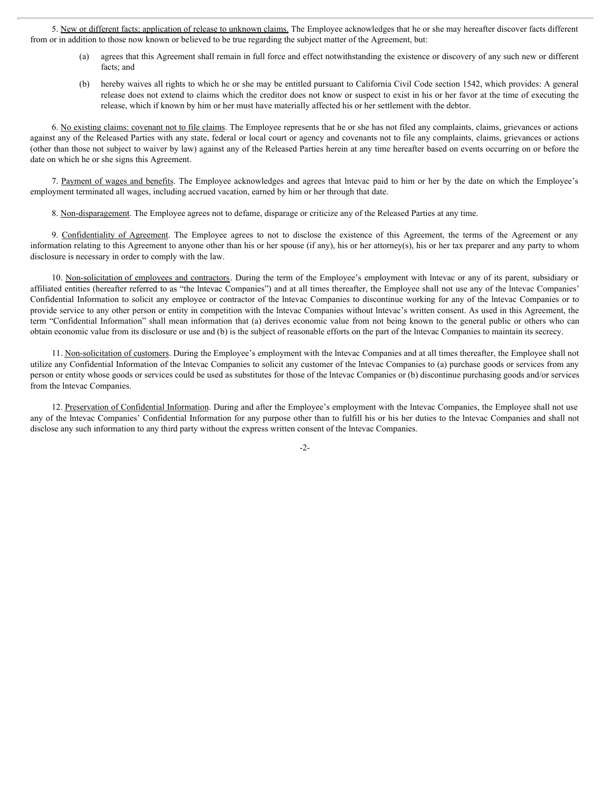5. New or different facts; application of release to unknown claims. The Employee acknowledges that he or she may hereafter discover facts different from or in addition to those now known or believed to be true regarding the subject matter of the Agreement, but:

- (a) agrees that this Agreement shall remain in full force and effect notwithstanding the existence or discovery of any such new or different facts; and
- (b) hereby waives all rights to which he or she may be entitled pursuant to California Civil Code section 1542, which provides: A general release does not extend to claims which the creditor does not know or suspect to exist in his or her favor at the time of executing the release, which if known by him or her must have materially affected his or her settlement with the debtor.

6. No existing claims: covenant not to file claims. The Employee represents that he or she has not filed any complaints, claims, grievances or actions against any of the Released Parties with any state, federal or local court or agency and covenants not to file any complaints, claims, grievances or actions (other than those not subject to waiver by law) against any of the Released Parties herein at any time hereafter based on events occurring on or before the date on which he or she signs this Agreement.

7. Payment of wages and benefits. The Employee acknowledges and agrees that lntevac paid to him or her by the date on which the Employee's employment terminated all wages, including accrued vacation, earned by him or her through that date.

8. Non-disparagement. The Employee agrees not to defame, disparage or criticize any of the Released Parties at any time.

information relating to this Agreement to anyone other than his or her spouse (if any), his or her attorney(s), his or her tax preparer and any party to whom disclosure is necessary in order to comply with the law.

5. Sex or different facts application of release to unknown claims. The Employee achoowledges that he or she may hereafter discover facts different in in addition to those now known or believed to be true regarding the su 10. Non-solicitation of employees and contractors. During the term of the Employee's employment with lntevac or any of its parent, subsidiary or affiliated entities (hereafter referred to as "the lntevac Companies") and at all times thereafter, the Employee shall not use any of the lntevac Companies' Confidential Information to solicit any employee or contractor of the lntevac Companies to discontinue working for any of the lntevac Companies or to provide service to any other person or entity in competition with the lntevac Companies without lntevac's written consent. As used in this Agreement, the term "Confidential Information" shall mean information that (a) derives economic value from not being known to the general public or others who can obtain economic value from its disclosure or use and (b) is the subject of reasonable efforts on the part of the lntevac Companies to maintain its secrecy.

11. Non-solicitation of customers. During the Employee's employment with the lntevac Companies and at all times thereafter, the Employee shall not utilize any Confidential Information of the lntevac Companies to solicit any customer of the lntevac Companies to (a) purchase goods or services from any person or entity whose goods or services could be used as substitutes for those of the lntevac Companies or (b) discontinue purchasing goods and/or services from the lntevac Companies.

12. Preservation of Confidential Information. During and after the Employee's employment with the Intevac Companies, the Employee shall not use any of the lntevac Companies' Confidential Information for any purpose other than to fulfill his or his her duties to the lntevac Companies and shall not disclose any such information to any third party without the express written consent of the lntevac Companies.

-2-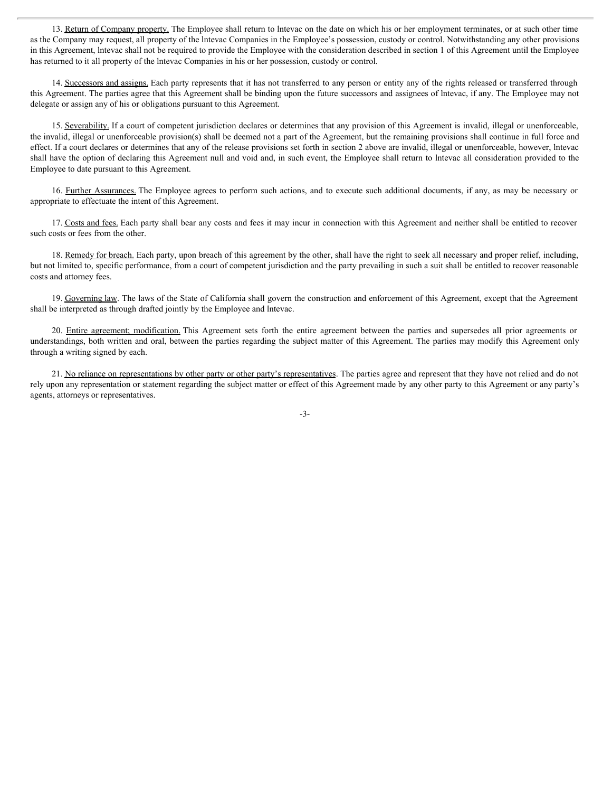13. Return of Company property. The Employee shall return to Intevac on the date on which his or her employment terminates, or at such other time as the Company may request, all property of the lntevac Companies in the Employee's possession, custody or control. Notwithstanding any other provisions in this Agreement, lntevac shall not be required to provide the Employee with the consideration described in section 1 of this Agreement until the Employee has returned to it all property of the lntevac Companies in his or her possession, custody or control.

14. Successors and assigns. Each party represents that it has not transferred to any person or entity any of the rights released or transferred through this Agreement. The parties agree that this Agreement shall be binding upon the future successors and assignees of lntevac, if any. The Employee may not delegate or assign any of his or obligations pursuant to this Agreement.

15. Severability. If a court of competent jurisdiction declares or determines that any provision of this Agreement is invalid, illegal or unenforceable, the invalid, illegal or unenforceable provision(s) shall be deemed not a part of the Agreement, but the remaining provisions shall continue in full force and effect. If a court declares or determines that any of the release provisions set forth in section 2 above are invalid, illegal or unenforceable, however, lntevac shall have the option of declaring this Agreement null and void and, in such event, the Employee shall return to lntevac all consideration provided to the Employee to date pursuant to this Agreement. 13. **Entanced Company amorgs**. The Employee shall center interacted the date on which his or her destructed to company my request all property of the interest Companies in the transport procession, costady or control. Mon

16. Further Assurances. The Employee agrees to perform such actions, and to execute such additional documents, if any, as may be necessary or appropriate to effectuate the intent of this Agreement.

17. Costs and fees. Each party shall bear any costs and fees it may incur in connection with this Agreement and neither shall be entitled to recover such costs or fees from the other.

18. Remedy for breach. Each party, upon breach of this agreement by the other, shall have the right to seek all necessary and proper relief, including, but not limited to, specific performance, from a court of competent jurisdiction and the party prevailing in such a suit shall be entitled to recover reasonable costs and attorney fees.

19. Governing law. The laws of the State of California shall govern the construction and enforcement of this Agreement, except that the Agreement shall be interpreted as through drafted jointly by the Employee and lntevac.

understandings, both written and oral, between the parties regarding the subject matter of this Agreement. The parties may modify this Agreement only through a writing signed by each.

21. No reliance on representations by other party or other party's representatives. The parties agree and represent that they have not relied and do not rely upon any representation or statement regarding the subject matter or effect of this Agreement made by any other party to this Agreement or any party's agents, attorneys or representatives.

-3-